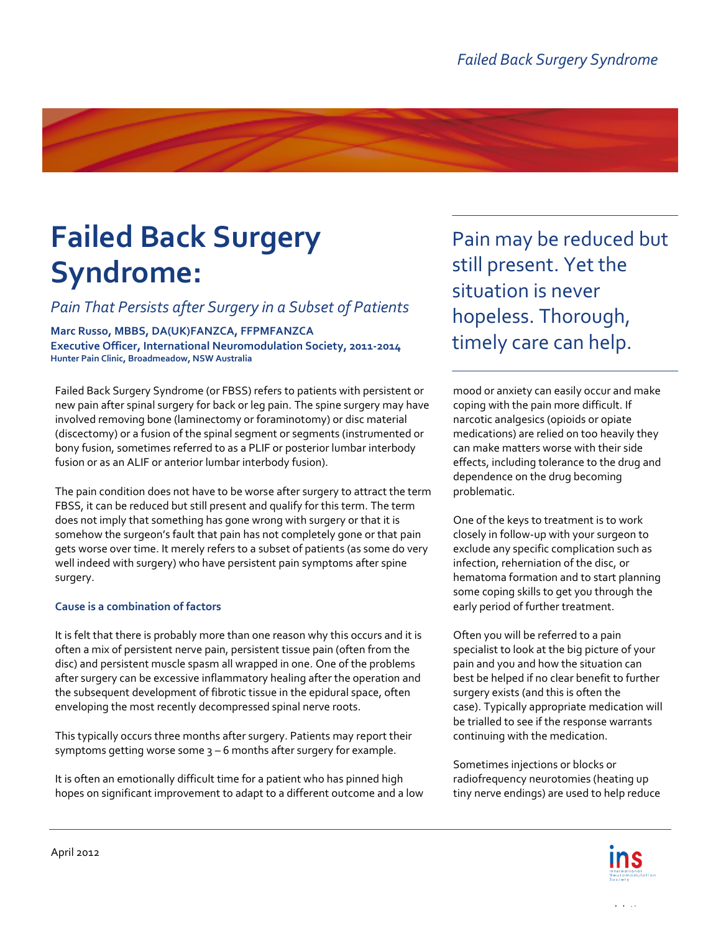# **Failed Back Surgery Syndrome:**

*Pain That Persists after Surgery in a Subset of Patients*

**Marc Russo, MBBS, DA(UK)FANZCA, FFPMFANZCA Executive Officer, International Neuromodulation Society, 2011-2014 Hunter Pain Clinic, Broadmeadow, NSW Australia**

Failed Back Surgery Syndrome (or FBSS) refers to patients with persistent or new pain after spinal surgery for back or leg pain. The spine surgery may have involved removing bone (laminectomy or foraminotomy) or disc material (discectomy) or a fusion of the spinal segment or segments (instrumented or bony fusion, sometimes referred to as a PLIF or posterior lumbar interbody fusion or as an ALIF or anterior lumbar interbody fusion).

The pain condition does not have to be worse after surgery to attract the term FBSS, it can be reduced but still present and qualify for this term. The term does not imply that something has gone wrong with surgery or that it is somehow the surgeon's fault that pain has not completely gone or that pain gets worse over time. It merely refers to a subset of patients (as some do very well indeed with surgery) who have persistent pain symptoms after spine surgery.

#### **Cause is a combination of factors**

It is felt that there is probably more than one reason why this occurs and it is often a mix of persistent nerve pain, persistent tissue pain (often from the disc) and persistent muscle spasm all wrapped in one. One of the problems after surgery can be excessive inflammatory healing after the operation and the subsequent development of fibrotic tissue in the epidural space, often enveloping the most recently decompressed spinal nerve roots.

This typically occurs three months after surgery. Patients may report their symptoms getting worse some  $3 - 6$  months after surgery for example.

It is often an emotionally difficult time for a patient who has pinned high hopes on significant improvement to adapt to a different outcome and a low

Pain may be reduced but still present. Yet the situation is never hopeless. Thorough, timely care can help.

mood or anxiety can easily occur and make coping with the pain more difficult. If narcotic analgesics (opioids or opiate medications) are relied on too heavily they can make matters worse with their side effects, including tolerance to the drug and dependence on the drug becoming problematic.

One of the keys to treatment is to work closely in follow-up with your surgeon to exclude any specific complication such as infection, reherniation of the disc, or hematoma formation and to start planning some coping skills to get you through the early period of further treatment.

Often you will be referred to a pain specialist to look at the big picture of your pain and you and how the situation can best be helped if no clear benefit to further surgery exists (and this is often the case). Typically appropriate medication will be trialled to see if the response warrants continuing with the medication.

Sometimes injections or blocks or radiofrequency neurotomies (heating up tiny nerve endings) are used to help reduce

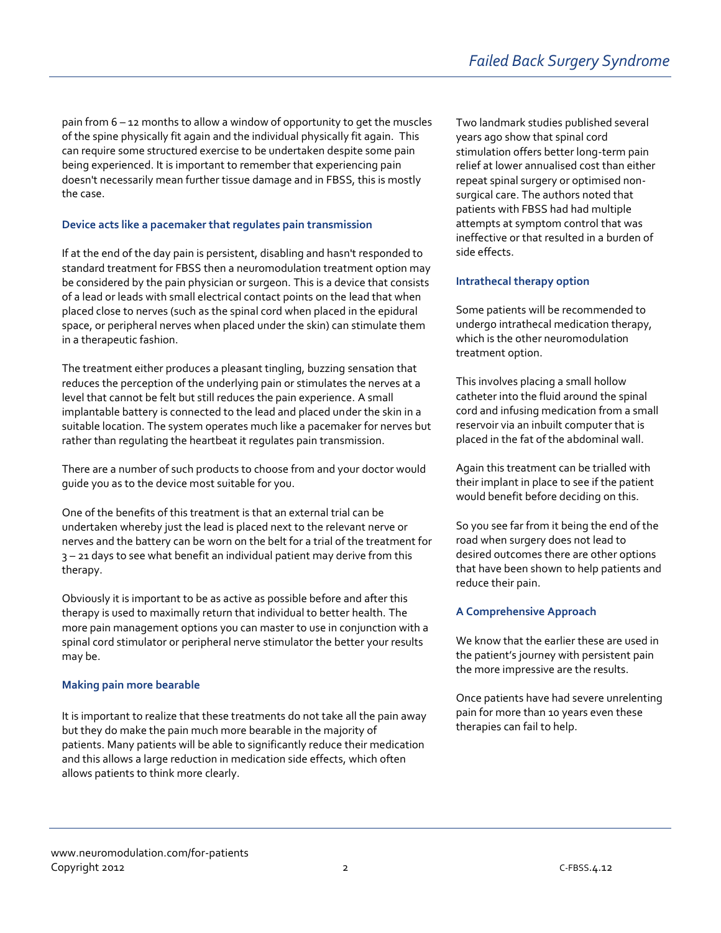pain from 6 – 12 months to allow a window of opportunity to get the muscles of the spine physically fit again and the individual physically fit again. This can require some structured exercise to be undertaken despite some pain being experienced. It is important to remember that experiencing pain doesn't necessarily mean further tissue damage and in FBSS, this is mostly the case.

## **Device acts like a pacemaker that regulates pain transmission**

If at the end of the day pain is persistent, disabling and hasn't responded to standard treatment for FBSS then a neuromodulation treatment option may be considered by the pain physician or surgeon. This is a device that consists of a lead or leads with small electrical contact points on the lead that when placed close to nerves (such as the spinal cord when placed in the epidural space, or peripheral nerves when placed under the skin) can stimulate them in a therapeutic fashion.

The treatment either produces a pleasant tingling, buzzing sensation that reduces the perception of the underlying pain or stimulates the nerves at a level that cannot be felt but still reduces the pain experience. A small implantable battery is connected to the lead and placed under the skin in a suitable location. The system operates much like a pacemaker for nerves but rather than regulating the heartbeat it regulates pain transmission.

There are a number of such products to choose from and your doctor would guide you as to the device most suitable for you.

One of the benefits of this treatment is that an external trial can be undertaken whereby just the lead is placed next to the relevant nerve or nerves and the battery can be worn on the belt for a trial of the treatment for 3 – 21 days to see what benefit an individual patient may derive from this therapy.

Obviously it is important to be as active as possible before and after this therapy is used to maximally return that individual to better health. The more pain management options you can master to use in conjunction with a spinal cord stimulator or peripheral nerve stimulator the better your results may be.

#### **Making pain more bearable**

It is important to realize that these treatments do not take all the pain away but they do make the pain much more bearable in the majority of patients. Many patients will be able to significantly reduce their medication and this allows a large reduction in medication side effects, which often allows patients to think more clearly.

Two landmark studies published several years ago show that spinal cord stimulation offers better long-term pain relief at lower annualised cost than either repeat spinal surgery or optimised nonsurgical care. The authors noted that patients with FBSS had had multiple attempts at symptom control that was ineffective or that resulted in a burden of side effects.

## **Intrathecal therapy option**

Some patients will be recommended to undergo intrathecal medication therapy, which is the other neuromodulation treatment option.

This involves placing a small hollow catheter into the fluid around the spinal cord and infusing medication from a small reservoir via an inbuilt computer that is placed in the fat of the abdominal wall.

Again this treatment can be trialled with their implant in place to see if the patient would benefit before deciding on this.

So you see far from it being the end of the road when surgery does not lead to desired outcomes there are other options that have been shown to help patients and reduce their pain.

## **A Comprehensive Approach**

We know that the earlier these are used in the patient's journey with persistent pain the more impressive are the results.

Once patients have had severe unrelenting pain for more than 10 years even these therapies can fail to help.